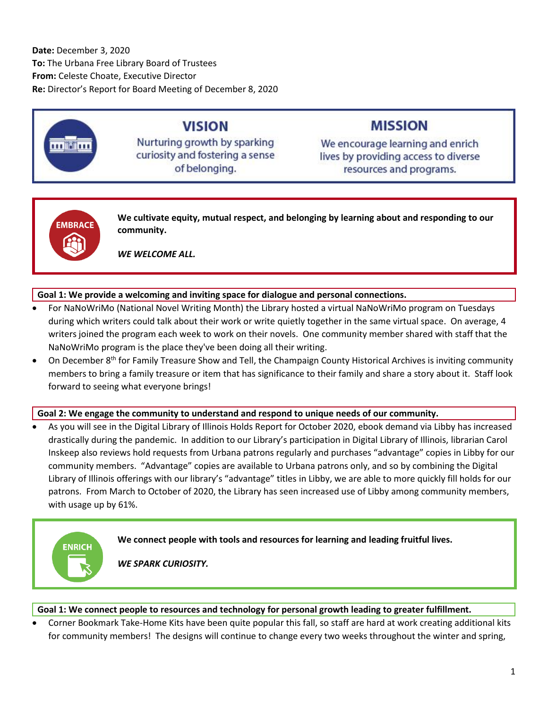**Date:** December 3, 2020 **To:** The Urbana Free Library Board of Trustees **From:** Celeste Choate, Executive Director **Re:** Director's Report for Board Meeting of December 8, 2020

# **VISION**

Nurturing growth by sparking curiosity and fostering a sense of belonging.

## **MISSION**

We encourage learning and enrich lives by providing access to diverse resources and programs.



**We cultivate equity, mutual respect, and belonging by learning about and responding to our community.**

*WE WELCOME ALL.*

#### **Goal 1: We provide a welcoming and inviting space for dialogue and personal connections.**

- For NaNoWriMo (National Novel Writing Month) the Library hosted a virtual NaNoWriMo program on Tuesdays during which writers could talk about their work or write quietly together in the same virtual space. On average, 4 writers joined the program each week to work on their novels. One community member shared with staff that the NaNoWriMo program is the place they've been doing all their writing.
- $\bullet$  On December 8<sup>th</sup> for Family Treasure Show and Tell, the Champaign County Historical Archives is inviting community members to bring a family treasure or item that has significance to their family and share a story about it. Staff look forward to seeing what everyone brings!

#### **Goal 2: We engage the community to understand and respond to unique needs of our community.**

 As you will see in the Digital Library of Illinois Holds Report for October 2020, ebook demand via Libby has increased drastically during the pandemic. In addition to our Library's participation in Digital Library of Illinois, librarian Carol Inskeep also reviews hold requests from Urbana patrons regularly and purchases "advantage" copies in Libby for our community members. "Advantage" copies are available to Urbana patrons only, and so by combining the Digital Library of Illinois offerings with our library's "advantage" titles in Libby, we are able to more quickly fill holds for our patrons. From March to October of 2020, the Library has seen increased use of Libby among community members, with usage up by 61%.



#### **Goal 1: We connect people to resources and technology for personal growth leading to greater fulfillment.**

 Corner Bookmark Take-Home Kits have been quite popular this fall, so staff are hard at work creating additional kits for community members! The designs will continue to change every two weeks throughout the winter and spring,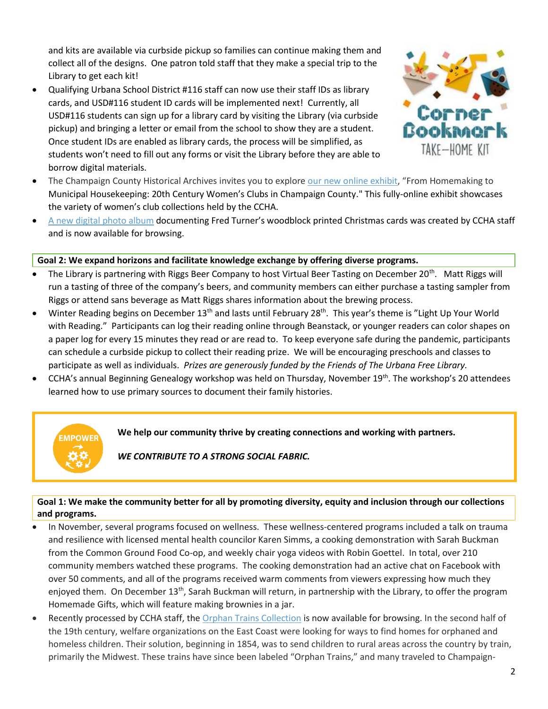and kits are available via curbside pickup so families can continue making them and collect all of the designs. One patron told staff that they make a special trip to the Library to get each kit!

 Qualifying Urbana School District #116 staff can now use their staff IDs as library cards, and USD#116 student ID cards will be implemented next! Currently, all USD#116 students can sign up for a library card by visiting the Library (via curbside pickup) and bringing a letter or email from the school to show they are a student. Once student IDs are enabled as library cards, the process will be simplified, as students won't need to fill out any forms or visit the Library before they are able to borrow digital materials.



- The Champaign County Historical Archives invites you to explore [our new online exhibit](https://urbanafree.omeka.net/exhibits), "From Homemaking to Municipal Housekeeping: 20th Century Women's Clubs in Champaign County." This fully-online exhibit showcases the variety of women's club collections held by the CCHA.
- [A new digital photo album](https://www.flickr.com/photos/98945443@N05/albums/72157710474665201) documenting Fred Turner's woodblock printed Christmas cards was created by CCHA staff and is now available for browsing.

#### **Goal 2: We expand horizons and facilitate knowledge exchange by offering diverse programs.**

- The Library is partnering with Riggs Beer Company to host Virtual Beer Tasting on December 20<sup>th</sup>. Matt Riggs will run a tasting of three of the company's beers, and community members can either purchase a tasting sampler from Riggs or attend sans beverage as Matt Riggs shares information about the brewing process.
- Winter Reading begins on December 13<sup>th</sup> and lasts until February 28<sup>th</sup>. This year's theme is "Light Up Your World with Reading." Participants can log their reading online through Beanstack, or younger readers can color shapes on a paper log for every 15 minutes they read or are read to. To keep everyone safe during the pandemic, participants can schedule a curbside pickup to collect their reading prize. We will be encouraging preschools and classes to participate as well as individuals. *Prizes are generously funded by the Friends of The Urbana Free Library.*
- CCHA's annual Beginning Genealogy workshop was held on Thursday, November 19<sup>th</sup>. The workshop's 20 attendees learned how to use primary sources to document their family histories.



**We help our community thrive by creating connections and working with partners.**

*WE CONTRIBUTE TO A STRONG SOCIAL FABRIC.*

#### **Goal 1: We make the community better for all by promoting diversity, equity and inclusion through our collections and programs.**

- In November, several programs focused on wellness. These wellness-centered programs included a talk on trauma and resilience with licensed mental health councilor Karen Simms, a cooking demonstration with Sarah Buckman from the Common Ground Food Co-op, and weekly chair yoga videos with Robin Goettel. In total, over 210 community members watched these programs. The cooking demonstration had an active chat on Facebook with over 50 comments, and all of the programs received warm comments from viewers expressing how much they enjoyed them. On December 13<sup>th</sup>, Sarah Buckman will return, in partnership with the Library, to offer the program Homemade Gifts, which will feature making brownies in a jar.
- Recently processed by CCHA staff, the [Orphan Trains Collection](https://archivescatalog.urbanafreelibrary.org/polaris/custom/Repository/233_OrphanTrain.pdf) is now available for browsing. In the second half of the 19th century, welfare organizations on the East Coast were looking for ways to find homes for orphaned and homeless children. Their solution, beginning in 1854, was to send children to rural areas across the country by train, primarily the Midwest. These trains have since been labeled "Orphan Trains," and many traveled to Champaign-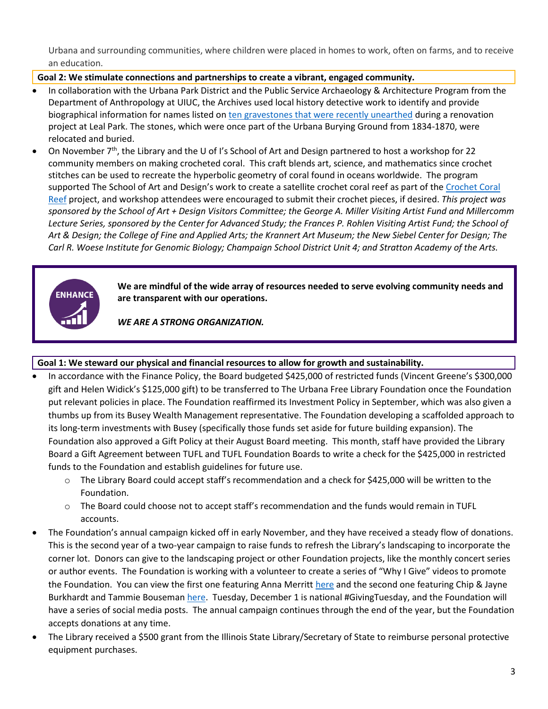Urbana and surrounding communities, where children were placed in homes to work, often on farms, and to receive an education.

#### **Goal 2: We stimulate connections and partnerships to create a vibrant, engaged community.**

- In collaboration with the Urbana Park District and the Public Service Archaeology & Architecture Program from the Department of Anthropology at UIUC, the Archives used local history detective work to identify and provide biographical information for names listed o[n ten gravestones that were recently unearthed](https://urbanafreelibrary.org/blogs/2020/10/22/uncovered-gravestones-leal-park) during a renovation project at Leal Park. The stones, which were once part of the Urbana Burying Ground from 1834-1870, were relocated and buried.
- On November  $7<sup>th</sup>$ , the Library and the U of I's School of Art and Design partnered to host a workshop for 22 community members on making crocheted coral. This craft blends art, science, and mathematics since crochet stitches can be used to recreate the hyperbolic geometry of coral found in oceans worldwide. The program supported The School of Art and Design's work to create a satellite crochet coral reef as part of the [Crochet Coral](https://crochetcoralreef.org/)  [Reef](https://crochetcoralreef.org/) project, and workshop attendees were encouraged to submit their crochet pieces, if desired. *This project was sponsored by the School of Art + Design Visitors Committee; the George A. Miller Visiting Artist Fund and Millercomm Lecture Series, sponsored by the Center for Advanced Study; the Frances P. Rohlen Visiting Artist Fund; the School of Art & Design; the College of Fine and Applied Arts; the Krannert Art Museum; the New Siebel Center for Design; The Carl R. Woese Institute for Genomic Biology; Champaign School District Unit 4; and Stratton Academy of the Arts.*



**We are mindful of the wide array of resources needed to serve evolving community needs and are transparent with our operations.**

*WE ARE A STRONG ORGANIZATION.*

#### **Goal 1: We steward our physical and financial resources to allow for growth and sustainability.**

- In accordance with the Finance Policy, the Board budgeted \$425,000 of restricted funds (Vincent Greene's \$300,000 gift and Helen Widick's \$125,000 gift) to be transferred to The Urbana Free Library Foundation once the Foundation put relevant policies in place. The Foundation reaffirmed its Investment Policy in September, which was also given a thumbs up from its Busey Wealth Management representative. The Foundation developing a scaffolded approach to its long-term investments with Busey (specifically those funds set aside for future building expansion). The Foundation also approved a Gift Policy at their August Board meeting. This month, staff have provided the Library Board a Gift Agreement between TUFL and TUFL Foundation Boards to write a check for the \$425,000 in restricted funds to the Foundation and establish guidelines for future use.
	- $\circ$  The Library Board could accept staff's recommendation and a check for \$425,000 will be written to the Foundation.
	- o The Board could choose not to accept staff's recommendation and the funds would remain in TUFL accounts.
- The Foundation's annual campaign kicked off in early November, and they have received a steady flow of donations. This is the second year of a two-year campaign to raise funds to refresh the Library's landscaping to incorporate the corner lot. Donors can give to the landscaping project or other Foundation projects, like the monthly concert series or author events. The Foundation is working with a volunteer to create a series of "Why I Give" videos to promote the Foundation. You can view the first one featuring Anna Merrit[t here](https://youtu.be/UfszTMwe33o) and the second one featuring Chip & Jayne Burkhardt and Tammie Bouseman [here.](https://www.youtube.com/watch?v=b08GP69hsYk&feature=youtu.be) Tuesday, December 1 is national #GivingTuesday, and the Foundation will have a series of social media posts. The annual campaign continues through the end of the year, but the Foundation accepts donations at any time.
- The Library received a \$500 grant from the Illinois State Library/Secretary of State to reimburse personal protective equipment purchases.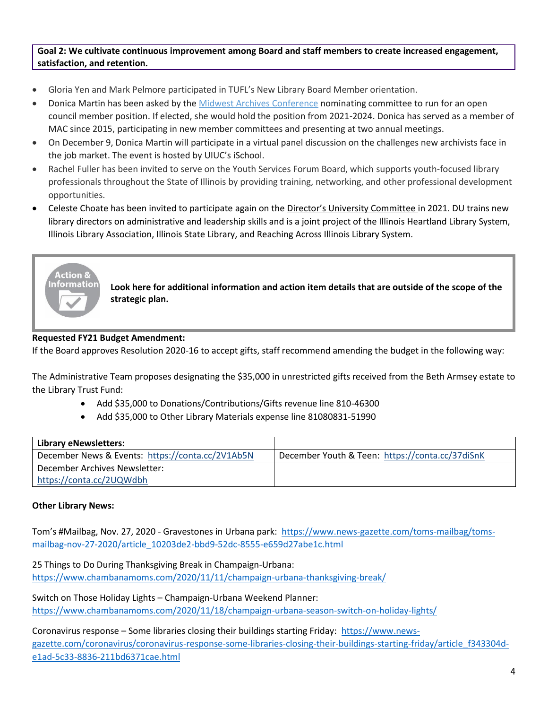**Goal 2: We cultivate continuous improvement among Board and staff members to create increased engagement, satisfaction, and retention.**

- Gloria Yen and Mark Pelmore participated in TUFL's New Library Board Member orientation.
- Donica Martin has been asked by the [Midwest Archives Conference](https://www.midwestarchives.org/) nominating committee to run for an open council member position. If elected, she would hold the position from 2021-2024. Donica has served as a member of MAC since 2015, participating in new member committees and presenting at two annual meetings.
- On December 9, Donica Martin will participate in a virtual panel discussion on the challenges new archivists face in the job market. The event is hosted by UIUC's iSchool.
- Rachel Fuller has been invited to serve on the Youth Services Forum Board, which supports youth-focused library professionals throughout the State of Illinois by providing training, networking, and other professional development opportunities.
- Celeste Choate has been invited to participate again on the [Director's University Committee](https://www.ila.org/events/directors-university-2020) in 2021. DU trains new library directors on administrative and leadership skills and is a joint project of the Illinois Heartland Library System, Illinois Library Association, Illinois State Library, and Reaching Across Illinois Library System.



**Look here for additional information and action item details that are outside of the scope of the strategic plan.**

#### **Requested FY21 Budget Amendment:**

If the Board approves Resolution 2020-16 to accept gifts, staff recommend amending the budget in the following way:

The Administrative Team proposes designating the \$35,000 in unrestricted gifts received from the Beth Armsey estate to the Library Trust Fund:

- Add \$35,000 to Donations/Contributions/Gifts revenue line 810-46300
- Add \$35,000 to Other Library Materials expense line 81080831-51990

| <b>Library eNewsletters:</b>                     |                                                 |
|--------------------------------------------------|-------------------------------------------------|
| December News & Events: https://conta.cc/2V1Ab5N | December Youth & Teen: https://conta.cc/37diSnK |
| December Archives Newsletter:                    |                                                 |
| https://conta.cc/2UQWdbh                         |                                                 |

#### **Other Library News:**

Tom's #Mailbag, Nov. 27, 2020 - Gravestones in Urbana park: [https://www.news-gazette.com/toms-mailbag/toms](https://www.news-gazette.com/toms-mailbag/toms-mailbag-nov-27-2020/article_10203de2-bbd9-52dc-8555-e659d27abe1c.html)[mailbag-nov-27-2020/article\\_10203de2-bbd9-52dc-8555-e659d27abe1c.html](https://www.news-gazette.com/toms-mailbag/toms-mailbag-nov-27-2020/article_10203de2-bbd9-52dc-8555-e659d27abe1c.html)

25 Things to Do During Thanksgiving Break in Champaign-Urbana: <https://www.chambanamoms.com/2020/11/11/champaign-urbana-thanksgiving-break/>

Switch on Those Holiday Lights – Champaign-Urbana Weekend Planner: <https://www.chambanamoms.com/2020/11/18/champaign-urbana-season-switch-on-holiday-lights/>

Coronavirus response – Some libraries closing their buildings starting Friday: [https://www.news](https://www.news-gazette.com/coronavirus/coronavirus-response-some-libraries-closing-their-buildings-starting-friday/article_f343304d-e1ad-5c33-8836-211bd6371cae.html)[gazette.com/coronavirus/coronavirus-response-some-libraries-closing-their-buildings-starting-friday/article\\_f343304d](https://www.news-gazette.com/coronavirus/coronavirus-response-some-libraries-closing-their-buildings-starting-friday/article_f343304d-e1ad-5c33-8836-211bd6371cae.html)[e1ad-5c33-8836-211bd6371cae.html](https://www.news-gazette.com/coronavirus/coronavirus-response-some-libraries-closing-their-buildings-starting-friday/article_f343304d-e1ad-5c33-8836-211bd6371cae.html)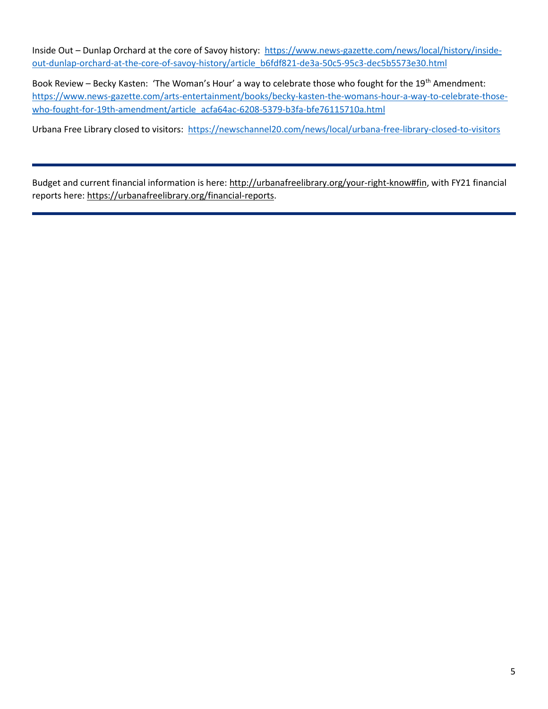Inside Out – Dunlap Orchard at the core of Savoy history: [https://www.news-gazette.com/news/local/history/inside](https://www.news-gazette.com/news/local/history/inside-out-dunlap-orchard-at-the-core-of-savoy-history/article_b6fdf821-de3a-50c5-95c3-dec5b5573e30.html)[out-dunlap-orchard-at-the-core-of-savoy-history/article\\_b6fdf821-de3a-50c5-95c3-dec5b5573e30.html](https://www.news-gazette.com/news/local/history/inside-out-dunlap-orchard-at-the-core-of-savoy-history/article_b6fdf821-de3a-50c5-95c3-dec5b5573e30.html)

Book Review – Becky Kasten: 'The Woman's Hour' a way to celebrate those who fought for the 19<sup>th</sup> Amendment: [https://www.news-gazette.com/arts-entertainment/books/becky-kasten-the-womans-hour-a-way-to-celebrate-those](https://www.news-gazette.com/arts-entertainment/books/becky-kasten-the-womans-hour-a-way-to-celebrate-those-who-fought-for-19th-amendment/article_acfa64ac-6208-5379-b3fa-bfe76115710a.html)[who-fought-for-19th-amendment/article\\_acfa64ac-6208-5379-b3fa-bfe76115710a.html](https://www.news-gazette.com/arts-entertainment/books/becky-kasten-the-womans-hour-a-way-to-celebrate-those-who-fought-for-19th-amendment/article_acfa64ac-6208-5379-b3fa-bfe76115710a.html)

Urbana Free Library closed to visitors: <https://newschannel20.com/news/local/urbana-free-library-closed-to-visitors>

Budget and current financial information is here: [http://urbanafreelibrary.org/your-right-know#fin,](http://urbanafreelibrary.org/your-right-know#fin) with FY21 financial reports here: [https://urbanafreelibrary.org/financial-reports.](https://urbanafreelibrary.org/financial-reports)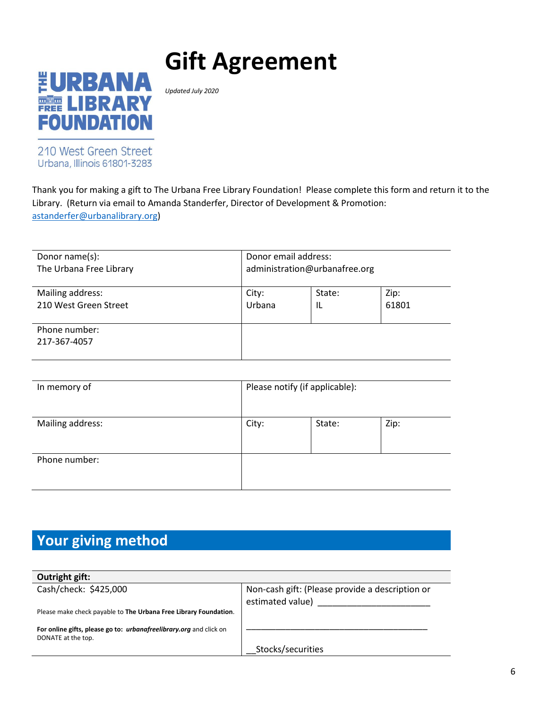# **Gift Agreement**



*Updated July 2020*

210 West Green Street Urbana, Illinois 61801-3283

Thank you for making a gift to The Urbana Free Library Foundation! Please complete this form and return it to the Library. (Return via email to Amanda Standerfer, Director of Development & Promotion: [astanderfer@urbanalibrary.org\)](mailto:astanderfer@urbanalibrary.org)

| Donor name(s):                | Donor email address:          |        |       |
|-------------------------------|-------------------------------|--------|-------|
| The Urbana Free Library       | administration@urbanafree.org |        |       |
| Mailing address:              | City:                         | State: | Zip:  |
| 210 West Green Street         | Urbana                        | IL     | 61801 |
| Phone number:<br>217-367-4057 |                               |        |       |

| In memory of     | Please notify (if applicable): |        |      |
|------------------|--------------------------------|--------|------|
| Mailing address: | City:                          | State: | Zip: |
| Phone number:    |                                |        |      |

# **Your giving method**

| Outright gift:                                                                                  |                                                                     |
|-------------------------------------------------------------------------------------------------|---------------------------------------------------------------------|
| Cash/check: \$425,000                                                                           | Non-cash gift: (Please provide a description or<br>estimated value) |
| Please make check payable to The Urbana Free Library Foundation.                                |                                                                     |
| For online gifts, please go to: <i>urbanafreelibrary.org</i> and click on<br>DONATE at the top. |                                                                     |
|                                                                                                 | Stocks/securities                                                   |